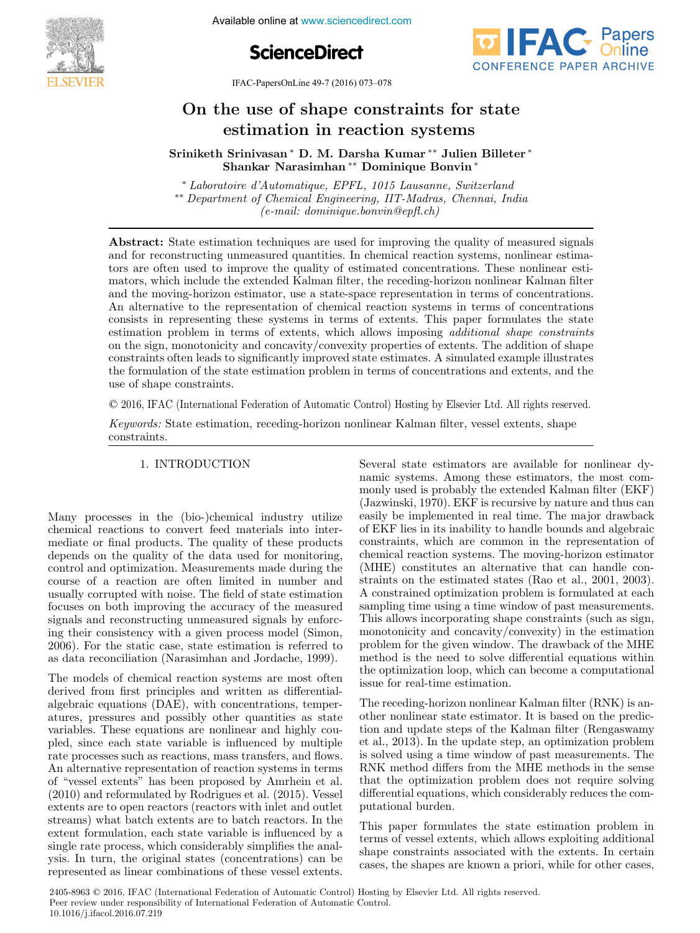

**11.1999 11.1999 11.1999 11.1999 11.1999 11.1999 11.1999 11.1999 11.1999 11.1999 11.1999 11.1999 11.1999 11.1999 11.1999 11.1999 11.1999 11.1999 11.1999 11.1999 11.1999 11.1999 11.1999 11.1999 11.1999 11.1999 11.1999 11.19** 





IFAC-PapersOnLine 49-7 (2016) 073–078  $\frac{1}{\sqrt{2010}}$ 

#### On the use of shape constraints for state estimation in reaction systems he use of shape constraints for  $\mathcal{O}(\mathcal{A})$  of shape constraints for state constraints for state  $\mathcal{A}$ On the use of shape constraints for state On the use of shape constraints for state

Sriniketh Srinivasan <sup>∗</sup> D. M. Darsha Kumar ∗∗ Julien Billeter <sup>∗</sup> Shankar Narasimhan ∗∗ Dominique Bonvin <sup>∗</sup> Shankar Narasimhan∗∗ Dominique Bonvin<sup>∗</sup> Sriniketh Srinivasan <sup>∗</sup> D. M. Darsha Kumar ∗∗ Julien Billeter <sup>∗</sup>  $\sum_{i=1}^{n}$ Sriniyasan ∗ D. M. Darsha Kumar ∗∗ Julien Sriniketh Srinivasan <sup>∗</sup> D. M. Darsha Kumar ∗∗ Julien Billeter <sup>∗</sup> Sriniketh Srinivasan<sup>∗</sup> D. M. Darsha Kumar<sup>∗∗</sup> Julien Billeter<sup>∗</sup> Shankar Narasimhan ∗∗ Dominique Bonvin <sup>∗</sup>

<sup>∗</sup> *Laboratoire d'Automatique, EPFL, 1015 Lausanne, Switzerland* ∗∗ *Department of Chemical Engineering, IIT-Madras, Chennai, India (e-mail: dominique.bonvin@epfl.ch)*  $\emph{``Laboratoire d'Automatique, EPFL, 1015 Lausanne, Switzerland}\\ \emph{``Department of Chemical Engineering, IIT-Madras, Chennai, India}\\ \emph{(e-mail: dominique.bonvin@epft.ch)}$ *(e-mail: dominique.bonvin@epfl.ch) (e-mail: dominique.bonvin@epfl.ch) (e-mail: dominique.bonvin@epfl.ch)*

*(e-mail: dominique.bonvin@epfl.ch)*

and for reconstructing unmeasured quantities. In chemical reaction systems, nonlinear estimators are often used to improve the quality of estimated concentrations. These nonlinear estimators, which include the extended Kalman filter, the receding-horizon nonlinear Kalman filter and the moving-horizon estimator, use a state-space representation in terms of concentrations. An alternative to the representation of chemical reaction systems in terms of concentrations consists in representing these systems in terms of extents. This paper formulates the state estimation problem in terms of extents, which allows imposing *additional shape constraints* on the sign, monotonicity and concavity/convexity properties of extents. The addition of shape constraints often leads to significantly improved state estimates. A simulated example illustrates the formulation of the state estimation problem in terms of concentrations and extents, and the use of shape constraints. Abstract: State estimation techniques are used for improving the quality of measured signals Abstract: State estimation techniques are used for improving the quality of measured signals

© 2016, IFAC (International Federation of Automatic Control) Hosting by Elsevier Ltd. All rights reserved. *Keywords:* State estimation, receding-horizon nonlinear Kalman filter, vessel extents, shape

*Keywords:* State estimation, receding-horizon nonlinear Kalman filter, vessel extents, shape constraints. constraints. constraints.  $Keywords:$ *Keywords:* State estimation, receding-horizon nonlinear Kalman filter, vessel extents, shape *Keywords:* State estimation, receding-horizon nonlinear Kalman filter, vessel extents, shape

# 1. INTRODUCTION 1. INTRODUCTION 1. INTRODUCTION 1. INTRODUCTION 1. INTRODUCTION

Many processes in the (bio-)chemical industry utilize chemical reactions to convert feed materials into intermediate or final products. The quality of these products depends on the quality of the data used for monitoring, depends on the quality of the data used for momenting,<br>control and optimization. Measurements made during the course of a reaction are often limited in number and course or a reaction are often infinited in number and<br>usually corrupted with noise. The field of state estimation distantly corrupted with holse. The held of state estimation<br>focuses on both improving the accuracy of the measured signals and reconstructing unmeasured signals by enforcesignals and reconstructing unineasured signals by emotion equal to the static case, state estimation is referred to 2006). For the static case, state estimation is referred to as data reconciliation (Narasimhan and Jordache, 1999). as data reconciliation (Narasimhan and Jordache, 1999). 2006). For the static case, state estimation is referred to Many processes in the (bio-)chemical industry utilize Many processes in the (bio-)chemical industry utilize  $M$  processes in the the (bio-)chemical industry utilize  $(1+\lambda)$  industry utilize utilize utilize Many processes in the (bio-)chemical industry utilize as data reconciliation (Narasimhan and Jordache, 1999).

The models of chemical reaction systems are most often The models of chemical reaction systems are most often<br>derived from first principles and written as differentialderived from this principles and written as dimerential-<br>algebraic equations (DAE), with concentrations, temperalgebraic equations (DAD), while concentrations, temper-<br>atures, pressures and possibly other quantities as state atures, pressures and possibly other quantities as state pled, since each state variable is influenced by multiple rate processes such as reactions, mass transfers, and flows. An alternative representation of reaction systems in terms pled, since each state variable is influenced by multiple<br>rate processes such as reactions, mass transfers, and flows.<br>An alternative representation of reaction systems in terms<br>of "vessel extents" has been proposed by Amr or vesser extents has been proposed by Ammen et al.<br>(2010) and reformulated by Rodrigues et al. (2015). Vessel extents are to open reactors (reactors with inlet and outlet extents are to open reactors (reactors with linet and outlet extent formulation, each state variable is influenced by a extent formulation, each state variable is influenced by a<br>single rate process, which considerably simplifies the analsingle rate process, which considerably simplifies the analysis. In turn, the original states (concentrations) can be represented as linear combinations of these vessel extents. represented as linear combinations of these vessel extents. ysis. In turn, the original states (concentrations) can be  $T_{\rm eff}$  are models of chemical reaction systems are models  $\mu$ The models of chemical reaction systems are most often  $T$  models of chemical reaction systems are models of chemical reaction systems are most often systems are most often systems are most often systems are most often systems are most often systems are most often systems are The models of chemical reaction systems are most often  $\mathbf{r}$ variables. These equations are nonlinear and highly coupled, since each state variable is influenced by multiple rate processes such as reactions, mass transfers, and hows. represented as linear combinations of these vessel extents. Several state estimators are available for nonlinear dybeveral state estimators are available for nonlinear dy-<br>namic systems. Among these estimators, the most commonly used is probably the extended Kalman filter  $(EKF)$ monly used is probably the extended Kalman filter (EKF) (Jazwinski, 1970). EKF is recursive by nature and thus can easily be implemented in real time. The major drawback easily be implemented in rear time. The major drawback<br>of EKF lies in its inability to handle bounds and algebraic of EKP lies in its mapilly to handle bounds and algebraic constraints, which are common in the representation of (MHE) constitutes an alternative that can handle constraints on the estimated states (Rao et al., 2001, 2003). A constrained optimization problem is formulated at each A constrained optimization problem is formulated at each<br>sampling time using a time window of past measurements. Sampling time using a time whidow of past measurements.<br>This allows incorporating shape constraints (such as sign, This ahows incorporating shape constraints (such as sign,<br>monotonicity and concavity/convexity) in the estimation problem for the given window. The drawback of the MHE problem for the given white will the dawback of the MITE the optimization loop, which can become a computational issue for real-time estimation. issue for real-time estimation. issue for real-time estimation. Several state estimators are available for nonlinear dy-Several state estimators are available for nonlinear dy-The receding-horizon nonlinear Kalman filter (RNK) is an-Several state estimators are available for nonlinear dy-Several state estimators are available for nonlinear dynamic systems. Among these estimators, the most comthe optimization loop, which can become a computational

The receding-horizon nonlinear Kalman filter (RNK) is an-The receding-norizon nonlinear National Inter (NNN) is an-<br>other nonlinear state estimator. It is based on the predicother nonlinear state estimator. It is based on the predic-<br>tion and update steps of the Kalman filter (Rengaswamy et al., 2013). In the update step, an optimization problem et al., 2013). In the update step, an optimization problem<br>is solved using a time window of past measurements. The<br>RNK method differs from the MHE methods in the sense RNK method differs from the MHE methods in the sense that the optimization problem does not require solving  $\mathcal{L}(\mathcal{L})$ that the optimization problem does not require solving<br>differential equations, which considerably reduces the computational burden. putational burden. The receding-horizon nonlinear Kalman filter (RNK) is an- $T$  at the state estimation problem in  $\mathcal{L}$  $T_{\rm H}$  recently is an  $T_{\rm H}$  is an  $T_{\rm H}$  is another (RNK) is an The receding-horizon nonlinear Kalman filter (RNK) is anis solved using a time window of past measurements. The RNK method differs from the MHE methods in the sense differential equations, which considerably reduces the com-

This paper formulates the state estimation problem in terms of vessel extents, which allows exploiting additional shape constraints associated with the extents. In certain shape constraints associated with the extents. In certain cases, the shapes are known a priori, while for other cases, This paper formulates the state estimation problem in This paper formulates the state estimation problem in putational burden.<br>This paper formulates the state estimation problem in<br>tarms of wessel autopts, which ellarge exploiting additional cases, the shapes are known a priori, while for other cases,

2405-8963 © 2016, IFAC (International Federation of Automatic Control) Hosting by Elsevier Ltd. All rights reserved. Peer review under responsibility of International Federation of Automatic Control.<br>
10,1016  $\frac{1}{2}$  is seed 2016 07,210. 10.1016/j.ifacol.2016.07.219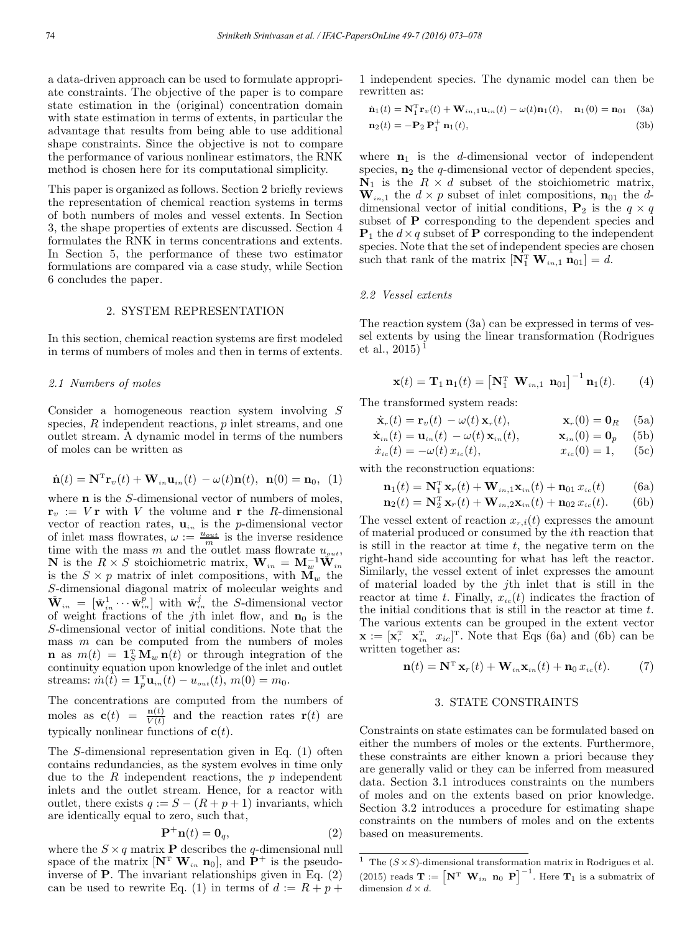a data-driven approach can be used to formulate appropriate constraints. The objective of the paper is to compare state estimation in the (original) concentration domain with state estimation in terms of extents, in particular the advantage that results from being able to use additional shape constraints. Since the objective is not to compare the performance of various nonlinear estimators, the RNK method is chosen here for its computational simplicity.

This paper is organized as follows. Section 2 briefly reviews the representation of chemical reaction systems in terms of both numbers of moles and vessel extents. In Section 3, the shape properties of extents are discussed. Section 4 formulates the RNK in terms concentrations and extents. In Section 5, the performance of these two estimator formulations are compared via a case study, while Section 6 concludes the paper.

### 2. SYSTEM REPRESENTATION

In this section, chemical reaction systems are first modeled in terms of numbers of moles and then in terms of extents.

### *2.1 Numbers of moles*

Consider a homogeneous reaction system involving S species,  $R$  independent reactions,  $p$  inlet streams, and one outlet stream. A dynamic model in terms of the numbers of moles can be written as

$$
\dot{\mathbf{n}}(t) = \mathbf{N}^{\mathrm{T}} \mathbf{r}_v(t) + \mathbf{W}_{in} \mathbf{u}_{in}(t) - \omega(t) \mathbf{n}(t), \ \mathbf{n}(0) = \mathbf{n}_0, \ (1)
$$

where **n** is the S-dimensional vector of numbers of moles,  $\mathbf{r}_v := V \mathbf{r}$  with V the volume and r the R-dimensional vector of reaction rates,  $\mathbf{u}_{in}$  is the *p*-dimensional vector of inlet mass flowrates,  $\omega := \frac{u_{out}}{m}$  is the inverse residence time with the mass m and the outlet mass flowrate  $u_{out}$ , **N** is the  $R \times S$  stoichiometric matrix,  $\mathbf{W}_{in} = \mathbf{M}_{w}^{-1} \check{\mathbf{W}}_{in}$ is the  $S \times p$  matrix of inlet compositions, with  $\mathbf{M}_w$  the S-dimensional diagonal matrix of molecular weights and  $\check{\mathbf{W}}_{in} = [\check{\mathbf{w}}_{in}^1 \cdots \check{\mathbf{w}}_{in}^p]$  with  $\check{\mathbf{w}}_{in}^j$  the *S*-dimensional vector of weight fractions of the jth inlet flow, and  $n_0$  is the S-dimensional vector of initial conditions. Note that the mass  $m$  can be computed from the numbers of moles  $\mathbf{n}$  as  $m(t) = \mathbf{1}_S^T \mathbf{M}_w \mathbf{n}(t)$  or through integration of the continuity equation upon knowledge of the inlet and outlet streams:  $\dot{m}(t) = \mathbf{1}_p^{\mathrm{T}} \mathbf{u}_{in}(t) - u_{out}(t), m(0) = m_0.$ 

The concentrations are computed from the numbers of moles as  $\mathbf{c}(t) = \frac{\mathbf{n}(t)}{V(t)}$  and the reaction rates  $\mathbf{r}(t)$  are typically nonlinear functions of  $\mathbf{c}(t)$ .

The S-dimensional representation given in Eq. (1) often contains redundancies, as the system evolves in time only due to the  $R$  independent reactions, the  $p$  independent inlets and the outlet stream. Hence, for a reactor with outlet, there exists  $q := S - (R + p + 1)$  invariants, which are identically equal to zero, such that,

$$
\mathbf{P}^+\mathbf{n}(t) = \mathbf{0}_q,\tag{2}
$$

where the  $S \times q$  matrix **P** describes the q-dimensional null space of the matrix  $[\mathbf{N}^T \ \mathbf{W}_{in} \ \mathbf{n}_0]$ , and  $\mathbf{P}^+$  is the pseudoinverse of P. The invariant relationships given in Eq. (2) can be used to rewrite Eq. (1) in terms of  $d := R + p +$  1 independent species. The dynamic model can then be rewritten as:

$$
\dot{\mathbf{n}}_1(t) = \mathbf{N}_1^{\mathrm{T}} \mathbf{r}_v(t) + \mathbf{W}_{in,1} \mathbf{u}_{in}(t) - \omega(t) \mathbf{n}_1(t), \quad \mathbf{n}_1(0) = \mathbf{n}_{01} \quad \text{(3a)}
$$
\n
$$
\mathbf{n}_2(t) = -\mathbf{P}_2 \mathbf{P}_1^+ \mathbf{n}_1(t), \tag{3b}
$$

where  $n_1$  is the d-dimensional vector of independent species,  $n_2$  the q-dimensional vector of dependent species,  $\mathbf{N}_1$  is the  $R \times d$  subset of the stoichiometric matrix,  $\mathbf{W}_{in,1}$  the  $d \times p$  subset of inlet compositions,  $\mathbf{n}_{01}$  the ddimensional vector of initial conditions,  $P_2$  is the  $q \times q$ subset of **P** corresponding to the dependent species and  $\mathbf{P}_1$  the  $d \times q$  subset of P corresponding to the independent species. Note that the set of independent species are chosen such that rank of the matrix  $[\mathbf{N}_1^T \ \mathbf{W}_{in,1} \ \mathbf{n}_{01}] = d$ .

#### *2.2 Vessel extents*

The reaction system (3a) can be expressed in terms of vessel extents by using the linear transformation (Rodrigues et al.,  $2015$ <sup>1</sup>

$$
\mathbf{x}(t) = \mathbf{T}_1 \mathbf{n}_1(t) = \left[\mathbf{N}_1^{\mathrm{T}} \ \mathbf{W}_{in,1} \ \mathbf{n}_{01}\right]^{-1} \mathbf{n}_1(t). \tag{4}
$$

The transformed system reads:

$$
\dot{\mathbf{x}}_r(t) = \mathbf{r}_v(t) - \omega(t) \mathbf{x}_r(t), \qquad \mathbf{x}_r(0) = \mathbf{0}_R \quad \text{(5a)}
$$

$$
\dot{\mathbf{x}}_{in}(t) = \mathbf{u}_{in}(t) - \omega(t)\mathbf{x}_{in}(t), \qquad \mathbf{x}_{in}(0) = \mathbf{0}_p \quad (5b)
$$

$$
\dot{x}_{ic}(t) = -\omega(t) x_{ic}(t), \qquad x_{ic}(0) = 1, \qquad (5c)
$$

with the reconstruction equations:

$$
\mathbf{n}_{1}(t) = \mathbf{N}_{1}^{\mathrm{T}} \mathbf{x}_{r}(t) + \mathbf{W}_{in,1} \mathbf{x}_{in}(t) + \mathbf{n}_{01} x_{ic}(t) \tag{6a}
$$

$$
\mathbf{n}_2(t) = \mathbf{N}_2^{\mathrm{T}} \mathbf{x}_r(t) + \mathbf{W}_{in,2} \mathbf{x}_{in}(t) + \mathbf{n}_{02} x_{ic}(t).
$$
 (6b)

The vessel extent of reaction  $x_{r,i}(t)$  expresses the amount of material produced or consumed by the ith reaction that is still in the reactor at time  $t$ , the negative term on the right-hand side accounting for what has left the reactor. Similarly, the vessel extent of inlet expresses the amount of material loaded by the jth inlet that is still in the reactor at time t. Finally,  $x_{ic}(t)$  indicates the fraction of the initial conditions that is still in the reactor at time t. The various extents can be grouped in the extent vector  $\mathbf{x} := [\mathbf{x}_r^{\mathrm{T}} \ \mathbf{x}_{in}^{\mathrm{T}} \ x_{ic}]^{\mathrm{T}}$ . Note that Eqs (6a) and (6b) can be written together as:

$$
\mathbf{n}(t) = \mathbf{N}^{\mathrm{T}} \mathbf{x}_r(t) + \mathbf{W}_{in} \mathbf{x}_{in}(t) + \mathbf{n}_0 \, x_{ic}(t). \tag{7}
$$

### 3. STATE CONSTRAINTS

Constraints on state estimates can be formulated based on either the numbers of moles or the extents. Furthermore, these constraints are either known a priori because they are generally valid or they can be inferred from measured data. Section 3.1 introduces constraints on the numbers of moles and on the extents based on prior knowledge. Section 3.2 introduces a procedure for estimating shape constraints on the numbers of moles and on the extents based on measurements.

<sup>&</sup>lt;sup>1</sup> The  $(S \times S)$ -dimensional transformation matrix in Rodrigues et al. (2015) reads  $\mathbf{T} := \begin{bmatrix} \mathbf{N}^T & \mathbf{W}_{in} & \mathbf{n}_0 & \mathbf{P} \end{bmatrix}^{-1}$ . Here  $\mathbf{T}_1$  is a submatrix of dimension  $d \times d$ .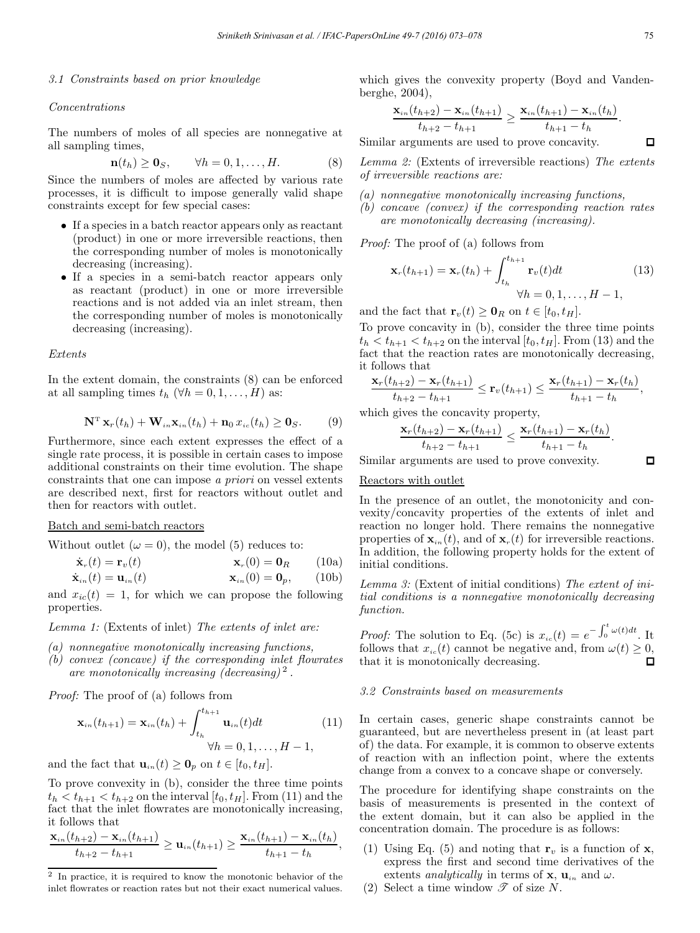### *3.1 Constraints based on prior knowledge*

#### *Concentrations*

The numbers of moles of all species are nonnegative at all sampling times,

$$
\mathbf{n}(t_h) \ge \mathbf{0}_S, \qquad \forall h = 0, 1, \dots, H. \tag{8}
$$

Since the numbers of moles are affected by various rate processes, it is difficult to impose generally valid shape constraints except for few special cases:

- If a species in a batch reactor appears only as reactant (product) in one or more irreversible reactions, then the corresponding number of moles is monotonically decreasing (increasing).
- If a species in a semi-batch reactor appears only as reactant (product) in one or more irreversible reactions and is not added via an inlet stream, then the corresponding number of moles is monotonically decreasing (increasing).

#### *Extents*

In the extent domain, the constraints (8) can be enforced at all sampling times  $t_h$  ( $\forall h = 0, 1, \ldots, H$ ) as:

$$
\mathbf{N}^{\mathrm{T}}\mathbf{x}_{r}(t_{h})+\mathbf{W}_{in}\mathbf{x}_{in}(t_{h})+\mathbf{n}_{0}\,x_{ic}(t_{h})\geq\mathbf{0}_{S}.\qquad(9)
$$

Furthermore, since each extent expresses the effect of a single rate process, it is possible in certain cases to impose additional constraints on their time evolution. The shape constraints that one can impose *a priori* on vessel extents are described next, first for reactors without outlet and then for reactors with outlet.

### Batch and semi-batch reactors

Without outlet  $(\omega = 0)$ , the model (5) reduces to:

$$
\dot{\mathbf{x}}_{r}(t) = \mathbf{r}_{v}(t) \qquad \mathbf{x}_{r}(0) = \mathbf{0}_{R} \qquad (10a)
$$
\n
$$
\dot{\mathbf{x}}_{r}(t) = \mathbf{u}_{r}(t) \qquad \mathbf{x}_{r}(0) = \mathbf{0}_{r}, \qquad (10b)
$$

$$
\mathbf{A}_{in}(t) = \mathbf{u}_{in}(t) \qquad \mathbf{A}_{in}(0) = \mathbf{0}_p, \qquad (100)
$$

and  $x_{ic}(t) = 1$ , for which we can propose the following properties.

*Lemma 1:* (Extents of inlet) *The extents of inlet are:*

- *(a) nonnegative monotonically increasing functions,*
- *(b) convex (concave) if the corresponding inlet flowrates are monotonically increasing (decreasing)* <sup>2</sup> *.*

*Proof:* The proof of (a) follows from

$$
\mathbf{x}_{in}(t_{h+1}) = \mathbf{x}_{in}(t_h) + \int_{t_h}^{t_{h+1}} \mathbf{u}_{in}(t)dt
$$
\n
$$
\forall h = 0, 1, \dots, H-1,
$$
\n(11)

and the fact that  $\mathbf{u}_{in}(t) \geq \mathbf{0}_p$  on  $t \in [t_0, t_H]$ .

To prove convexity in (b), consider the three time points  $t_h < t_{h+1} < t_{h+2}$  on the interval  $[t_0, t_H]$ . From (11) and the fact that the inlet flowrates are monotonically increasing, it follows that

$$
\frac{\mathbf{x}_{in}(t_{h+2})-\mathbf{x}_{in}(t_{h+1})}{t_{h+2}-t_{h+1}} \geq \mathbf{u}_{in}(t_{h+1}) \geq \frac{\mathbf{x}_{in}(t_{h+1})-\mathbf{x}_{in}(t_h)}{t_{h+1}-t_h},
$$

which gives the convexity property (Boyd and Vandenberghe, 2004),

$$
\frac{\mathbf{x}_{in}(t_{h+2})-\mathbf{x}_{in}(t_{h+1})}{t_{h+2}-t_{h+1}} \geq \frac{\mathbf{x}_{in}(t_{h+1})-\mathbf{x}_{in}(t_h)}{t_{h+1}-t_h}.
$$

Similar arguments are used to prove concavity.

*Lemma 2:* (Extents of irreversible reactions) *The extents of irreversible reactions are:*

- *(a) nonnegative monotonically increasing functions,*
- *(b) concave (convex) if the corresponding reaction rates are monotonically decreasing (increasing).*

*Proof:* The proof of (a) follows from

$$
\mathbf{x}_{r}(t_{h+1}) = \mathbf{x}_{r}(t_{h}) + \int_{t_{h}}^{t_{h+1}} \mathbf{r}_{v}(t)dt
$$
\n
$$
\forall h = 0, 1, \dots, H - 1,
$$
\n(13)

and the fact that  $\mathbf{r}_v(t) \geq \mathbf{0}_R$  on  $t \in [t_0, t_H]$ .

To prove concavity in (b), consider the three time points  $t_h < t_{h+1} < t_{h+2}$  on the interval  $[t_0, t_H]$ . From (13) and the fact that the reaction rates are monotonically decreasing, it follows that

$$
\frac{\mathbf{x}_r(t_{h+2})-\mathbf{x}_r(t_{h+1})}{t_{h+2}-t_{h+1}} \leq \mathbf{r}_v(t_{h+1}) \leq \frac{\mathbf{x}_r(t_{h+1})-\mathbf{x}_r(t_h)}{t_{h+1}-t_h},
$$

which gives the concavity property,

$$
\frac{\mathbf{x}_r(t_{h+2}) - \mathbf{x}_r(t_{h+1})}{t_{h+2} - t_{h+1}} \leq \frac{\mathbf{x}_r(t_{h+1}) - \mathbf{x}_r(t_h)}{t_{h+1} - t_h}.
$$

Similar arguments are used to prove convexity.

# Reactors with outlet

In the presence of an outlet, the monotonicity and convexity/concavity properties of the extents of inlet and reaction no longer hold. There remains the nonnegative properties of  $\mathbf{x}_{in}(t)$ , and of  $\mathbf{x}_{r}(t)$  for irreversible reactions. In addition, the following property holds for the extent of initial conditions.

*Lemma 3:* (Extent of initial conditions) *The extent of initial conditions is a nonnegative monotonically decreasing function.*

*Proof:* The solution to Eq. (5c) is  $x_{ic}(t) = e^{-\int_0^t \omega(t)dt}$ . It follows that  $x_{ic}(t)$  cannot be negative and, from  $\omega(t) \geq 0$ , that it is monotonically decreasing. п

# *3.2 Constraints based on measurements*

In certain cases, generic shape constraints cannot be guaranteed, but are nevertheless present in (at least part of) the data. For example, it is common to observe extents of reaction with an inflection point, where the extents change from a convex to a concave shape or conversely.

The procedure for identifying shape constraints on the basis of measurements is presented in the context of the extent domain, but it can also be applied in the concentration domain. The procedure is as follows:

- (1) Using Eq. (5) and noting that  $\mathbf{r}_v$  is a function of **x**, express the first and second time derivatives of the extents *analytically* in terms of **x**,  $\mathbf{u}_{in}$  and  $\omega$ .
- (2) Select a time window  $\mathscr{T}$  of size N.

 $\Box$ 

 $\Box$ 

In practice, it is required to know the monotonic behavior of the inlet flowrates or reaction rates but not their exact numerical values.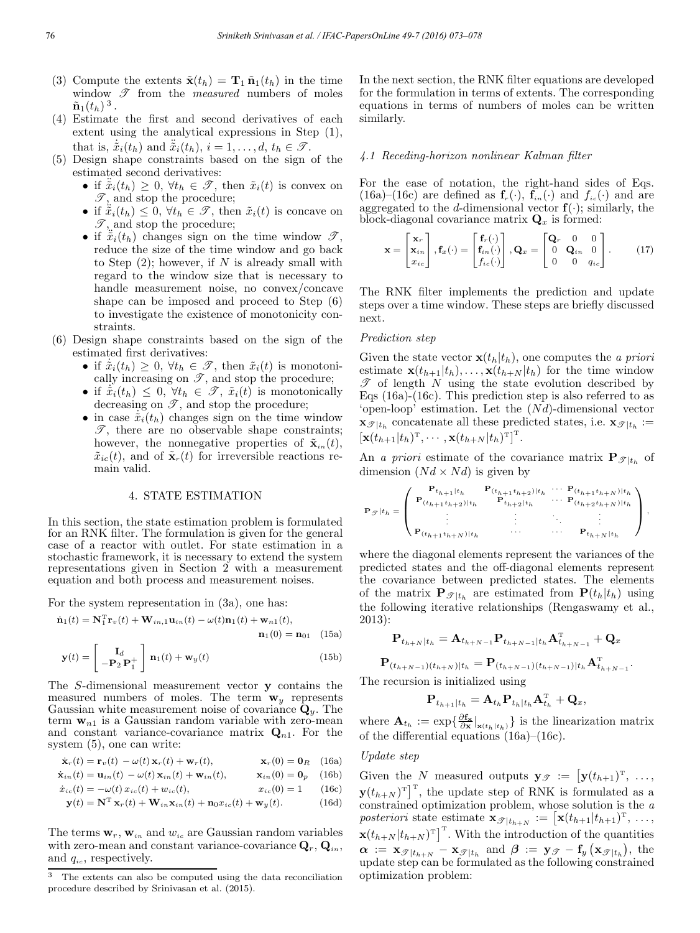- (3) Compute the extents  $\tilde{\mathbf{x}}(t_h) = \mathbf{T}_1 \tilde{\mathbf{n}}_1(t_h)$  in the time window  $\mathscr T$  from the *measured* numbers of moles  $\tilde{\mathbf{n}}_1(t_h)^3$ .
- (4) Estimate the first and second derivatives of each extent using the analytical expressions in Step (1), that is,  $\tilde{x}_i(t_h)$  and  $\tilde{x}_i(t_h)$ ,  $i = 1, \ldots, d, t_h \in \mathcal{T}$ .
- (5) Design shape constraints based on the sign of the estimated second derivatives:
	- if  $\ddot{x}_i(t_h) \geq 0$ ,  $\forall t_h \in \mathscr{T}$ , then  $\tilde{x}_i(t)$  is convex on  $\mathscr{T},$  and stop the procedure;
	- if  $\tilde{\ddot{x}}_i(t_h) \leq 0$ ,  $\forall t_h \in \mathcal{T}$ , then  $\tilde{x}_i(t)$  is concave on  $\mathscr{T},$  and stop the procedure;
	- if  $\ddot{x}_i(t_h)$  changes sign on the time window  $\mathscr{T}$ , reduce the size of the time window and go back to Step  $(2)$ ; however, if N is already small with regard to the window size that is necessary to handle measurement noise, no convex/concave shape can be imposed and proceed to Step (6) to investigate the existence of monotonicity constraints.
- (6) Design shape constraints based on the sign of the estimated first derivatives:
	- if  $\dot{\tilde{x}}_i(t_h) \geq 0$ ,  $\forall t_h \in \mathscr{T}$ , then  $\tilde{x}_i(t)$  is monotonically increasing on  $\mathscr{T}$ , and stop the procedure;
	- if  $\dot{\tilde{x}}_i(t_h) \leq 0$ ,  $\forall t_h \in \mathscr{T}$ ,  $\tilde{x}_i(t)$  is monotonically decreasing on  $\mathscr{T}$ , and stop the procedure;
	- in case  $\tilde{x}_i(t_h)$  changes sign on the time window  $\mathscr{T}$ , there are no observable shape constraints; however, the nonnegative properties of  $\tilde{\mathbf{x}}_{in}(t)$ ,  $\tilde{x}_{ic}(t)$ , and of  $\tilde{\mathbf{x}}_r(t)$  for irreversible reactions remain valid.

### 4. STATE ESTIMATION

In this section, the state estimation problem is formulated for an RNK filter. The formulation is given for the general case of a reactor with outlet. For state estimation in a stochastic framework, it is necessary to extend the system representations given in Section 2 with a measurement equation and both process and measurement noises.

For the system representation in (3a), one has:

$$
\dot{\mathbf{n}}_1(t) = \mathbf{N}_1^{\mathrm{T}} \mathbf{r}_v(t) + \mathbf{W}_{in,1} \mathbf{u}_{in}(t) - \omega(t) \mathbf{n}_1(t) + \mathbf{w}_{n1}(t),
$$
  

$$
\mathbf{n}_1(0) = \mathbf{n}_{01} \quad (15a)
$$

$$
\mathbf{y}(t) = \begin{bmatrix} \mathbf{I}_d \\ -\mathbf{P}_2 \mathbf{P}_1^+ \end{bmatrix} \mathbf{n}_1(t) + \mathbf{w}_y(t)
$$
(15b)

The S-dimensional measurement vector y contains the measured numbers of moles. The term  $w_y$  represents Gaussian white measurement noise of covariance  $\dot{\mathbf{Q}}_y$ . The term  $w_{n1}$  is a Gaussian random variable with zero-mean and constant variance-covariance matrix  $\mathbf{Q}_{n1}$ . For the system (5), one can write:

$$
\dot{\mathbf{x}}_r(t) = \mathbf{r}_v(t) - \omega(t) \mathbf{x}_r(t) + \mathbf{w}_r(t), \qquad \mathbf{x}_r(0) = \mathbf{0}_R \quad (16a)
$$

$$
\dot{\mathbf{x}}_{in}(t) = \mathbf{u}_{in}(t) - \omega(t)\,\mathbf{x}_{in}(t) + \mathbf{w}_{in}(t), \qquad \mathbf{x}_{in}(0) = \mathbf{0}_p \quad (16b)
$$

$$
\dot{x}_{ic}(t) = -\omega(t) x_{ic}(t) + w_{ic}(t), \qquad x_{ic}(0) = 1 \qquad (16c)
$$

$$
\mathbf{y}(t) = \mathbf{N}^{\mathrm{T}} \mathbf{x}_r(t) + \mathbf{W}_{in} \mathbf{x}_{in}(t) + \mathbf{n}_0 x_{ic}(t) + \mathbf{w}_y(t).
$$
 (16d)

The terms  $\mathbf{w}_r$ ,  $\mathbf{w}_{in}$  and  $w_{ic}$  are Gaussian random variables with zero-mean and constant variance-covariance  $\mathbf{Q}_r, \mathbf{Q}_{in}$ , and  $q_{ic}$ , respectively.

In the next section, the RNK filter equations are developed for the formulation in terms of extents. The corresponding equations in terms of numbers of moles can be written similarly.

#### *4.1 Receding-horizon nonlinear Kalman filter*

For the ease of notation, the right-hand sides of Eqs.  $(16a)$ – $(16c)$  are defined as  $f_r(\cdot)$ ,  $f_{in}(\cdot)$  and  $f_{ic}(\cdot)$  and are aggregated to the d-dimensional vector  $f(\cdot)$ ; similarly, the block-diagonal covariance matrix  $\mathbf{Q}_x$  is formed:

$$
\mathbf{x} = \begin{bmatrix} \mathbf{x}_r \\ \mathbf{x}_{in} \\ x_{ic} \end{bmatrix}, \mathbf{f}_x(\cdot) = \begin{bmatrix} \mathbf{f}_r(\cdot) \\ \mathbf{f}_{in}(\cdot) \\ f_{ic}(\cdot) \end{bmatrix}, \mathbf{Q}_x = \begin{bmatrix} \mathbf{Q}_r & 0 & 0 \\ 0 & \mathbf{Q}_{in} & 0 \\ 0 & 0 & q_{ic} \end{bmatrix}.
$$
 (17)

The RNK filter implements the prediction and update steps over a time window. These steps are briefly discussed next.

#### *Prediction step*

Given the state vector  $\mathbf{x}(t_h|t_h)$ , one computes the *a priori* estimate  $\mathbf{x}(t_{h+1}|t_h),\ldots,\mathbf{x}(t_{h+N}|t_h)$  for the time window  $\mathscr T$  of length N using the state evolution described by Eqs (16a)-(16c). This prediction step is also referred to as 'open-loop' estimation. Let the  $(Nd)$ -dimensional vector  $\mathbf{x}_{\mathcal{F}|t_h}$  concatenate all these predicted states, i.e.  $\mathbf{x}_{\mathcal{F}|t_h} :=$  $\left[\mathbf{x}(t_{h+1}|t_h)^{\mathrm{T}},\cdots,\mathbf{x}(t_{h+N}|t_h)^{\mathrm{T}}\right]^{\mathrm{T}}$ .

An *a priori* estimate of the covariance matrix  $\mathbf{P}_{\mathcal{I}|t_h}$  of dimension  $(Nd \times Nd)$  is given by

$$
\mathbf{P}_{\mathcal{I}} | t_h = \left( \begin{array}{cccc} \mathbf{P}_{t_{h+1} | t_h} & \mathbf{P}_{(t_{h+1} t_{h+2}) | t_h} & \cdots & \mathbf{P}_{(t_{h+1} t_{h+N}) | t_h} \\ \mathbf{P}_{(t_{h+1} t_{h+2}) | t_h} & \mathbf{P}_{t_{h+2} | t_h} & \cdots & \mathbf{P}_{(t_{h+2} t_{h+N}) | t_h} \\ \vdots & \vdots & \ddots & \vdots \\ \mathbf{P}_{(t_{h+1} t_{h+N}) | t_h} & \cdots & \cdots & \mathbf{P}_{t_{h+N} | t_h} \end{array} \right),
$$

where the diagonal elements represent the variances of the predicted states and the off-diagonal elements represent the covariance between predicted states. The elements of the matrix  $\mathbf{P}_{\mathscr{T} | t_h}$  are estimated from  $\mathbf{P}(t_h|t_h)$  using the following iterative relationships (Rengaswamy et al., 2013):

$$
\mathbf{P}_{t_{h+N}|t_h} = \mathbf{A}_{t_{h+N-1}} \mathbf{P}_{t_{h+N-1}|t_h} \mathbf{A}_{t_{h+N-1}}^{\mathrm{T}} + \mathbf{Q}_x
$$

 $\mathbf{P}_{(t_{h+N-1})(t_{h+N})|t_h} = \mathbf{P}_{(t_{h+N-1})(t_{h+N-1})|t_h} \mathbf{A}_{t_{h+N-1}}^\mathrm{T}.$ The recursion is initialized using

$$
\mathbf{P}_{t_{h+1}|t_h} = \mathbf{A}_{t_h} \mathbf{P}_{t_h|t_h} \mathbf{A}_{t_h}^{\mathrm{T}} + \mathbf{Q}_x,
$$

where  $\mathbf{A}_{t_h} := \exp\{\frac{\partial \mathbf{f_x}}{\partial \mathbf{x}}|_{\mathbf{x}(t_h|t_h)}\}$  is the linearization matrix of the differential equations (16a)–(16c).

# *Update step*

Given the N measured outputs  $y_{\mathscr{T}} := [y(t_{h+1})^T, \ldots,$  $\mathbf{y}(t_{h+N})^{\mathrm{T}}$ , the update step of RNK is formulated as a constrained optimization problem, whose solution is the *a* posteriori state estimate  $\mathbf{x}_{\mathscr{T}|t_{h+N}} := [\mathbf{x}(t_{h+1}|t_{h+1})^T, \ldots,$  $\mathbf{x}(t_{h+N}|t_{h+N})^{\mathrm{T}}$ . With the introduction of the quantities  $\bm{\alpha} \ := \ \mathbf{x}_{\mathscr{T} | t_{h+N}} - \mathbf{x}_{\mathscr{T} | t_h} \ \text{ and } \ \bm{\beta} \ := \ \mathbf{y}_{\mathscr{T}} - \mathbf{f}_y \left( \mathbf{x}_{\mathscr{T} | t_h} \right), \ \text{the}$ update step can be formulated as the following constrained optimization problem:

The extents can also be computed using the data reconciliation procedure described by Srinivasan et al. (2015).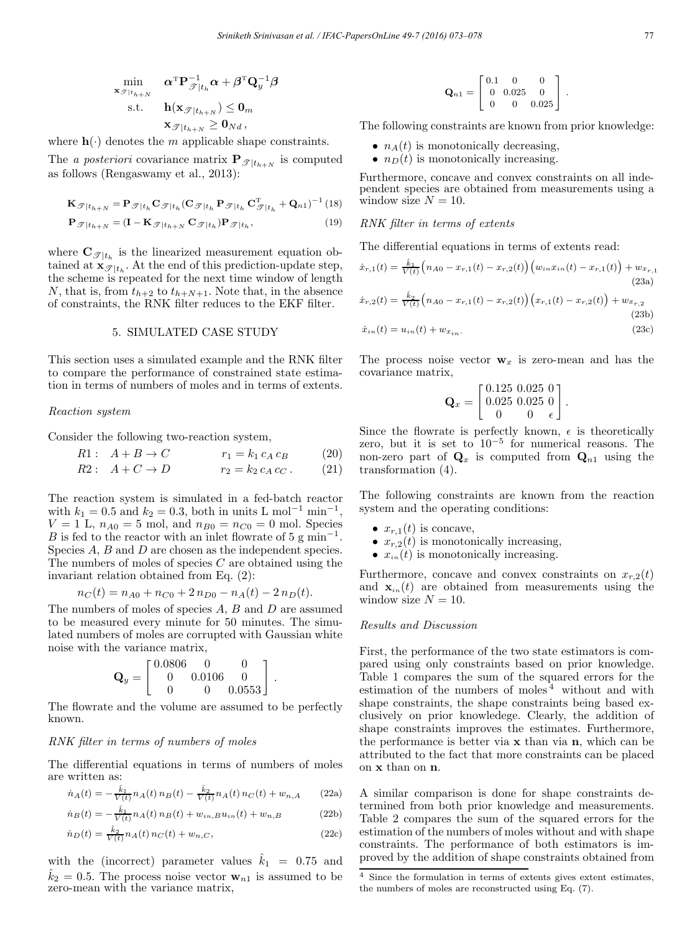$$
\min_{\mathbf{x}_{\mathcal{F}|t_{h+N}}} \quad \alpha^{\mathrm{T}} \mathbf{P}_{\mathcal{F}|t_h}^{-1} \alpha + \beta^{\mathrm{T}} \mathbf{Q}_y^{-1} \beta
$$
\n
$$
\text{s.t.} \quad \mathbf{h}(\mathbf{x}_{\mathcal{F}|t_{h+N}}) \leq \mathbf{0}_m
$$
\n
$$
\mathbf{x}_{\mathcal{F}|t_{h+N}} \geq \mathbf{0}_{Nd},
$$

where  $h(\cdot)$  denotes the m applicable shape constraints.

The *a posteriori* covariance matrix  $\mathbf{P}_{\mathcal{I}|t_{h+N}}$  is computed as follows (Rengaswamy et al., 2013):

$$
\mathbf{K}_{\mathcal{F}|t_{h+N}} = \mathbf{P}_{\mathcal{F}|t_h} \mathbf{C}_{\mathcal{F}|t_h} (\mathbf{C}_{\mathcal{F}|t_h} \mathbf{P}_{\mathcal{F}|t_h} \mathbf{C}_{\mathcal{F}|t_h}^{\mathrm{T}} + \mathbf{Q}_{n1})^{-1} (18)
$$

$$
\mathbf{P}_{\mathcal{F}|t_{h+N}} = (\mathbf{I} - \mathbf{K}_{\mathcal{F}|t_{h+N}} \mathbf{C}_{\mathcal{F}|t_h}) \mathbf{P}_{\mathcal{F}|t_h},\tag{19}
$$

where  $\mathbf{C}_{\mathscr{T}|t_h}$  is the linearized measurement equation obtained at  $\mathbf{x}_{\mathscr{T}|t_h}$ . At the end of this prediction-update step, the scheme is repeated for the next time window of length N, that is, from  $t_{h+2}$  to  $t_{h+N+1}$ . Note that, in the absence of constraints, the RNK filter reduces to the EKF filter.

### 5. SIMULATED CASE STUDY

This section uses a simulated example and the RNK filter to compare the performance of constrained state estimation in terms of numbers of moles and in terms of extents.

#### *Reaction system*

Consider the following two-reaction system,

$$
R1: A + B \to C \qquad \qquad r_1 = k_1 c_A c_B \qquad (20)
$$

$$
R2: A + C \to D \qquad \qquad r_2 = k_2 c_A c_C. \qquad (21)
$$

The reaction system is simulated in a fed-batch reactor with  $k_1 = 0.5$  and  $k_2 = 0.3$ , both in units L mol<sup>-1</sup> min<sup>-1</sup>,  $V = 1$  L,  $n_{A0} = 5$  mol, and  $n_{B0} = n_{C0} = 0$  mol. Species B is fed to the reactor with an inlet flowrate of 5 g min<sup>-1</sup>. Species A, B and D are chosen as the independent species. The numbers of moles of species  $C$  are obtained using the invariant relation obtained from Eq. (2):

$$
n_C(t) = n_{A0} + n_{C0} + 2 n_{D0} - n_A(t) - 2 n_D(t).
$$

The numbers of moles of species  $A, B$  and  $D$  are assumed to be measured every minute for 50 minutes. The simulated numbers of moles are corrupted with Gaussian white noise with the variance matrix,

$$
\mathbf{Q}_y = \begin{bmatrix} 0.0806 & 0 & 0 \\ 0 & 0.0106 & 0 \\ 0 & 0 & 0.0553 \end{bmatrix}.
$$

The flowrate and the volume are assumed to be perfectly known.

### *RNK filter in terms of numbers of moles*

The differential equations in terms of numbers of moles are written as:

$$
\dot{n}_A(t) = -\frac{\hat{k}_1}{V(t)} n_A(t) n_B(t) - \frac{\hat{k}_2}{V(t)} n_A(t) n_C(t) + w_{n,A} \qquad (22a)
$$

$$
\dot{n}_B(t) = -\frac{\hat{k}_1}{V(t)} n_A(t) n_B(t) + w_{in,B} u_{in}(t) + w_{n,B}
$$
\n(22b)

$$
\dot{n}_D(t) = \frac{\hat{k}_2}{V(t)} n_A(t) n_C(t) + w_{n,C},
$$
\n(22c)

with the (incorrect) parameter values  $\hat{k}_1 = 0.75$  and  $\hat{k}_2 = 0.5$ . The process noise vector  $\mathbf{w}_{n1}$  is assumed to be zero-mean with the variance matrix,

$$
\mathbf{Q}_{n1} = \left[ \begin{array}{ccc} 0.1 & 0 & 0 \\ 0 & 0.025 & 0 \\ 0 & 0 & 0.025 \end{array} \right].
$$

The following constraints are known from prior knowledge:

- $n_A(t)$  is monotonically decreasing,
- $n_D(t)$  is monotonically increasing.

Furthermore, concave and convex constraints on all independent species are obtained from measurements using a window size  $N = 10$ .

# *RNK filter in terms of extents*

The differential equations in terms of extents read:

$$
\begin{aligned}\n\dot{x}_{r,1}(t) &= \frac{\hat{k}_1}{V(t)} \Big( n_{A0} - x_{r,1}(t) - x_{r,2}(t) \Big) \Big( w_{in} x_{in}(t) - x_{r,1}(t) \Big) + w_{x_{r,1}} \tag{23a} \\
\dot{x}_{r,2}(t) &= \frac{\hat{k}_2}{V(t)} \Big( n_{A0} - x_{r,1}(t) - x_{r,2}(t) \Big) \Big( x_{r,1}(t) - x_{r,2}(t) \Big) + w_{x_{r,2}} \tag{23b} \\
\dot{x}_{in}(t) &= u_{in}(t) + w_{x_{in}}.\n\end{aligned}
$$

The process noise vector  $w_x$  is zero-mean and has the covariance matrix,

$$
\mathbf{Q}_x = \begin{bmatrix} 0.125 & 0.025 & 0 \\ 0.025 & 0.025 & 0 \\ 0 & 0 & \epsilon \end{bmatrix}.
$$

Since the flowrate is perfectly known,  $\epsilon$  is theoretically zero, but it is set to  $10^{-5}$  for numerical reasons. The non-zero part of  $\mathbf{Q}_x$  is computed from  $\mathbf{Q}_{n1}$  using the transformation (4).

The following constraints are known from the reaction system and the operating conditions:

- $x_{r,1}(t)$  is concave,
- $x_{r,2}(t)$  is monotonically increasing,
- $x_{in}(t)$  is monotonically increasing.

Furthermore, concave and convex constraints on  $x_{r,2}(t)$ and  $\mathbf{x}_{in}(t)$  are obtained from measurements using the window size  $N = 10$ .

#### *Results and Discussion*

First, the performance of the two state estimators is compared using only constraints based on prior knowledge. Table 1 compares the sum of the squared errors for the estimation of the numbers of moles <sup>4</sup> without and with shape constraints, the shape constraints being based exclusively on prior knowledege. Clearly, the addition of shape constraints improves the estimates. Furthermore, the performance is better via  $x$  than via  $n$ , which can be attributed to the fact that more constraints can be placed on x than on n.

A similar comparison is done for shape constraints determined from both prior knowledge and measurements. Table 2 compares the sum of the squared errors for the estimation of the numbers of moles without and with shape constraints. The performance of both estimators is improved by the addition of shape constraints obtained from

 $\frac{4}{4}$  Since the formulation in terms of extents gives extent estimates, the numbers of moles are reconstructed using Eq. (7).